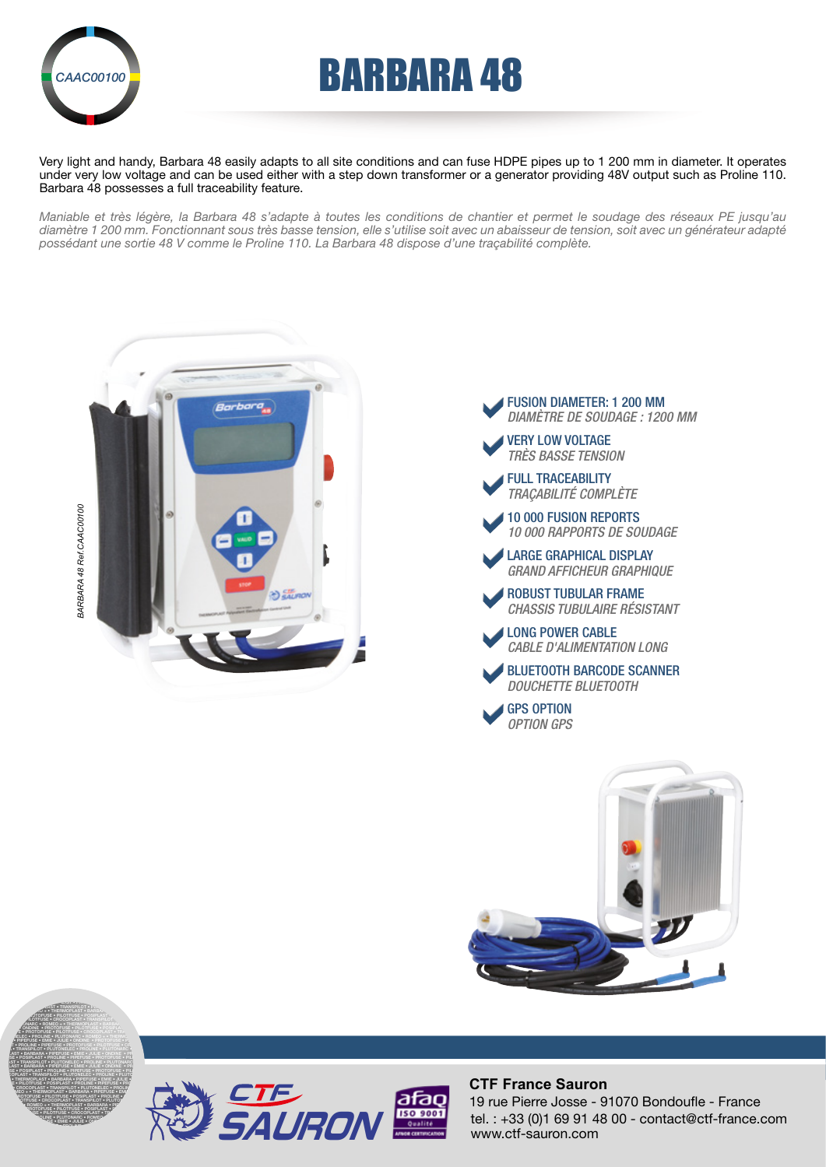

# **EARBARA 48**

Very light and handy, Barbara 48 easily adapts to all site conditions and can fuse HDPE pipes up to 1 200 mm in diameter. It operates under very low voltage and can be used either with a step down transformer or a generator providing 48V output such as Proline 110. Barbara 48 possesses a full traceability feature.

*Maniable et très légère, la Barbara 48 s'adapte à toutes les conditions de chantier et permet le soudage des réseaux PE jusqu'au diamètre 1 200 mm. Fonctionnant sous très basse tension, elle s'utilise soit avec un abaisseur de tension, soit avec un générateur adapté possédant une sortie 48 V comme le Proline 110. La Barbara 48 dispose d'une traçabilité complète.*









PROLINE • PIPEFUSE • PROTOFUSE • PILOTFUSE • CROCOPLAST • TRANSPILOT •



#### **CTF France Sauron**

tel. : +33 (0)1 69 91 48 00 - contact@ctf-france.com www.ctf-sauron.com 19 rue Pierre Josse - 91070 Bondoufle - France